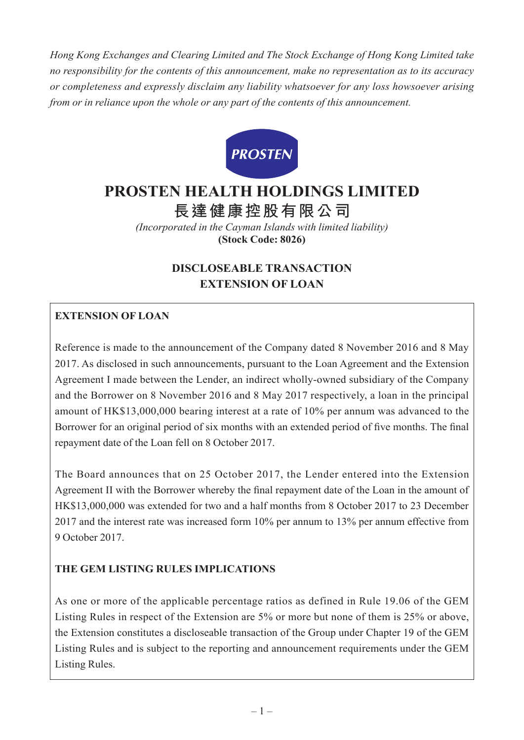*Hong Kong Exchanges and Clearing Limited and The Stock Exchange of Hong Kong Limited take no responsibility for the contents of this announcement, make no representation as to its accuracy or completeness and expressly disclaim any liability whatsoever for any loss howsoever arising from or in reliance upon the whole or any part of the contents of this announcement.*



# **PROSTEN HEALTH HOLDINGS LIMITED**

**長達健康控股有限公司**

*(Incorporated in the Cayman Islands with limited liability)* **(Stock Code: 8026)**

# **DISCLOSEABLE TRANSACTION EXTENSION OF LOAN**

# **EXTENSION OF LOAN**

Reference is made to the announcement of the Company dated 8 November 2016 and 8 May 2017. As disclosed in such announcements, pursuant to the Loan Agreement and the Extension Agreement I made between the Lender, an indirect wholly-owned subsidiary of the Company and the Borrower on 8 November 2016 and 8 May 2017 respectively, a loan in the principal amount of HK\$13,000,000 bearing interest at a rate of 10% per annum was advanced to the Borrower for an original period of six months with an extended period of five months. The final repayment date of the Loan fell on 8 October 2017.

The Board announces that on 25 October 2017, the Lender entered into the Extension Agreement II with the Borrower whereby the final repayment date of the Loan in the amount of HK\$13,000,000 was extended for two and a half months from 8 October 2017 to 23 December 2017 and the interest rate was increased form 10% per annum to 13% per annum effective from 9 October 2017.

# **THE GEM LISTING RULES IMPLICATIONS**

As one or more of the applicable percentage ratios as defined in Rule 19.06 of the GEM Listing Rules in respect of the Extension are 5% or more but none of them is 25% or above, the Extension constitutes a discloseable transaction of the Group under Chapter 19 of the GEM Listing Rules and is subject to the reporting and announcement requirements under the GEM Listing Rules.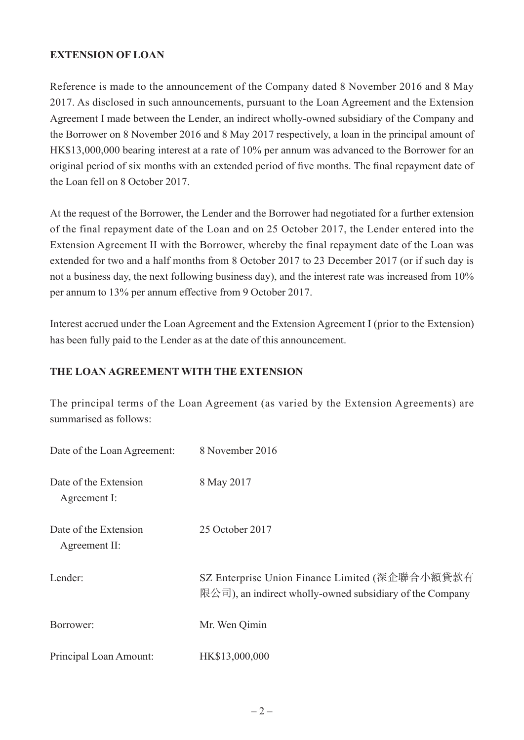#### **EXTENSION OF LOAN**

Reference is made to the announcement of the Company dated 8 November 2016 and 8 May 2017. As disclosed in such announcements, pursuant to the Loan Agreement and the Extension Agreement I made between the Lender, an indirect wholly-owned subsidiary of the Company and the Borrower on 8 November 2016 and 8 May 2017 respectively, a loan in the principal amount of HK\$13,000,000 bearing interest at a rate of 10% per annum was advanced to the Borrower for an original period of six months with an extended period of five months. The final repayment date of the Loan fell on 8 October 2017.

At the request of the Borrower, the Lender and the Borrower had negotiated for a further extension of the final repayment date of the Loan and on 25 October 2017, the Lender entered into the Extension Agreement II with the Borrower, whereby the final repayment date of the Loan was extended for two and a half months from 8 October 2017 to 23 December 2017 (or if such day is not a business day, the next following business day), and the interest rate was increased from 10% per annum to 13% per annum effective from 9 October 2017.

Interest accrued under the Loan Agreement and the Extension Agreement I (prior to the Extension) has been fully paid to the Lender as at the date of this announcement.

#### **THE LOAN AGREEMENT WITH THE EXTENSION**

The principal terms of the Loan Agreement (as varied by the Extension Agreements) are summarised as follows:

| Date of the Loan Agreement:            | 8 November 2016                                                                                            |
|----------------------------------------|------------------------------------------------------------------------------------------------------------|
| Date of the Extension<br>Agreement I:  | 8 May 2017                                                                                                 |
| Date of the Extension<br>Agreement II: | 25 October 2017                                                                                            |
| Lender:                                | SZ Enterprise Union Finance Limited (深企聯合小額貸款有<br>限公司), an indirect wholly-owned subsidiary of the Company |
| Borrower:                              | Mr. Wen Qimin                                                                                              |
| Principal Loan Amount:                 | HK\$13,000,000                                                                                             |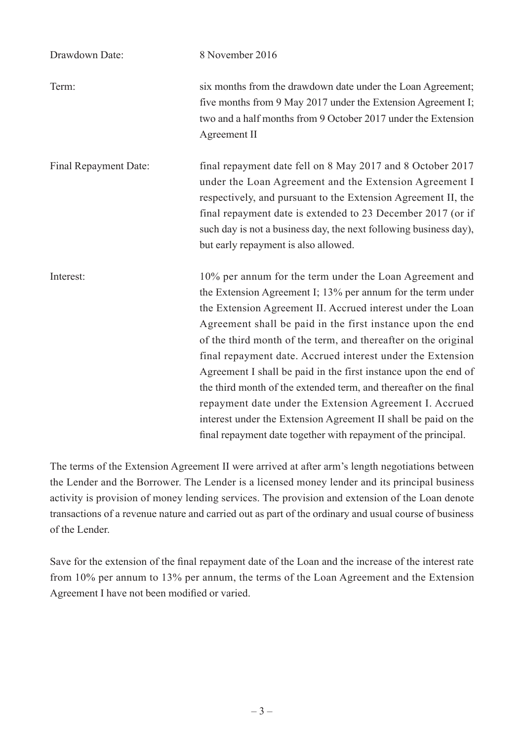| Drawdown Date:        | 8 November 2016                                                                                                                                                                                                                                                                                                                                                                                                                                                                                                                                                                                                                                                                                                            |
|-----------------------|----------------------------------------------------------------------------------------------------------------------------------------------------------------------------------------------------------------------------------------------------------------------------------------------------------------------------------------------------------------------------------------------------------------------------------------------------------------------------------------------------------------------------------------------------------------------------------------------------------------------------------------------------------------------------------------------------------------------------|
| Term:                 | six months from the drawdown date under the Loan Agreement;<br>five months from 9 May 2017 under the Extension Agreement I;<br>two and a half months from 9 October 2017 under the Extension<br>Agreement II                                                                                                                                                                                                                                                                                                                                                                                                                                                                                                               |
| Final Repayment Date: | final repayment date fell on 8 May 2017 and 8 October 2017<br>under the Loan Agreement and the Extension Agreement I<br>respectively, and pursuant to the Extension Agreement II, the<br>final repayment date is extended to 23 December 2017 (or if<br>such day is not a business day, the next following business day),<br>but early repayment is also allowed.                                                                                                                                                                                                                                                                                                                                                          |
| Interest:             | 10% per annum for the term under the Loan Agreement and<br>the Extension Agreement I; 13% per annum for the term under<br>the Extension Agreement II. Accrued interest under the Loan<br>Agreement shall be paid in the first instance upon the end<br>of the third month of the term, and thereafter on the original<br>final repayment date. Accrued interest under the Extension<br>Agreement I shall be paid in the first instance upon the end of<br>the third month of the extended term, and thereafter on the final<br>repayment date under the Extension Agreement I. Accrued<br>interest under the Extension Agreement II shall be paid on the<br>final repayment date together with repayment of the principal. |

The terms of the Extension Agreement II were arrived at after arm's length negotiations between the Lender and the Borrower. The Lender is a licensed money lender and its principal business activity is provision of money lending services. The provision and extension of the Loan denote transactions of a revenue nature and carried out as part of the ordinary and usual course of business of the Lender.

Save for the extension of the final repayment date of the Loan and the increase of the interest rate from 10% per annum to 13% per annum, the terms of the Loan Agreement and the Extension Agreement I have not been modified or varied.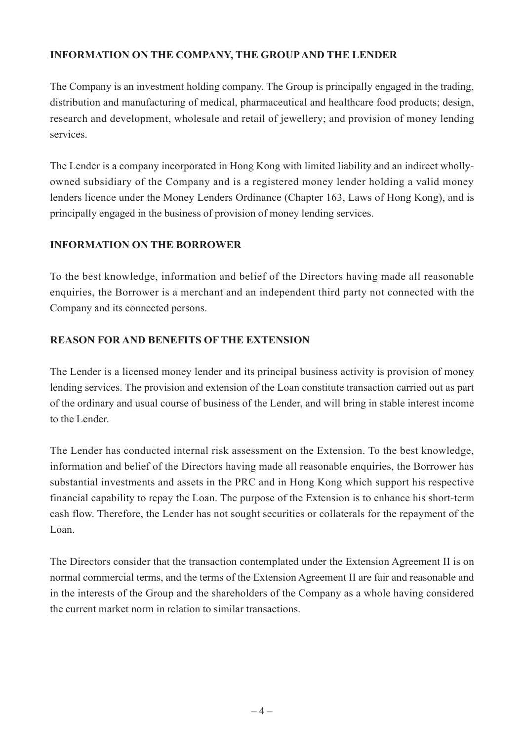## **INFORMATION ON THE COMPANY, THE GROUP AND THE LENDER**

The Company is an investment holding company. The Group is principally engaged in the trading, distribution and manufacturing of medical, pharmaceutical and healthcare food products; design, research and development, wholesale and retail of jewellery; and provision of money lending services.

The Lender is a company incorporated in Hong Kong with limited liability and an indirect whollyowned subsidiary of the Company and is a registered money lender holding a valid money lenders licence under the Money Lenders Ordinance (Chapter 163, Laws of Hong Kong), and is principally engaged in the business of provision of money lending services.

#### **INFORMATION ON THE BORROWER**

To the best knowledge, information and belief of the Directors having made all reasonable enquiries, the Borrower is a merchant and an independent third party not connected with the Company and its connected persons.

## **REASON FOR AND BENEFITS OF THE EXTENSION**

The Lender is a licensed money lender and its principal business activity is provision of money lending services. The provision and extension of the Loan constitute transaction carried out as part of the ordinary and usual course of business of the Lender, and will bring in stable interest income to the Lender.

The Lender has conducted internal risk assessment on the Extension. To the best knowledge, information and belief of the Directors having made all reasonable enquiries, the Borrower has substantial investments and assets in the PRC and in Hong Kong which support his respective financial capability to repay the Loan. The purpose of the Extension is to enhance his short-term cash flow. Therefore, the Lender has not sought securities or collaterals for the repayment of the Loan.

The Directors consider that the transaction contemplated under the Extension Agreement II is on normal commercial terms, and the terms of the Extension Agreement II are fair and reasonable and in the interests of the Group and the shareholders of the Company as a whole having considered the current market norm in relation to similar transactions.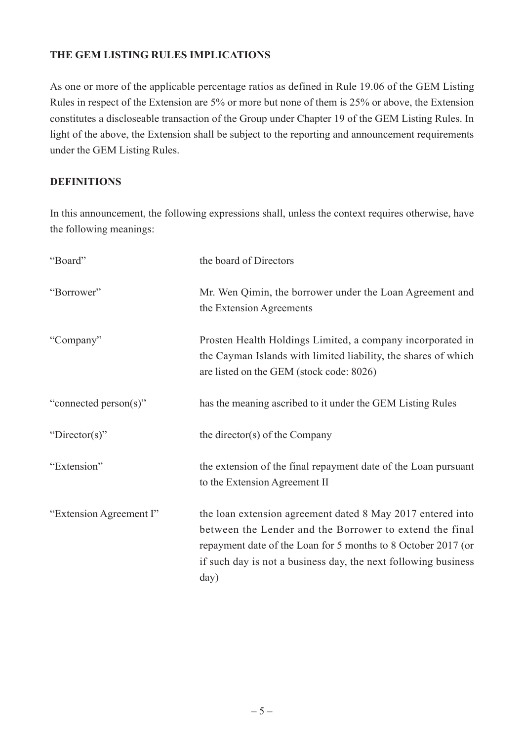#### **THE GEM LISTING RULES IMPLICATIONS**

As one or more of the applicable percentage ratios as defined in Rule 19.06 of the GEM Listing Rules in respect of the Extension are 5% or more but none of them is 25% or above, the Extension constitutes a discloseable transaction of the Group under Chapter 19 of the GEM Listing Rules. In light of the above, the Extension shall be subject to the reporting and announcement requirements under the GEM Listing Rules.

#### **DEFINITIONS**

In this announcement, the following expressions shall, unless the context requires otherwise, have the following meanings:

| "Board"                 | the board of Directors                                                                                                                                                                                                                                           |
|-------------------------|------------------------------------------------------------------------------------------------------------------------------------------------------------------------------------------------------------------------------------------------------------------|
| "Borrower"              | Mr. Wen Qimin, the borrower under the Loan Agreement and<br>the Extension Agreements                                                                                                                                                                             |
| "Company"               | Prosten Health Holdings Limited, a company incorporated in<br>the Cayman Islands with limited liability, the shares of which<br>are listed on the GEM (stock code: 8026)                                                                                         |
| "connected person(s)"   | has the meaning ascribed to it under the GEM Listing Rules                                                                                                                                                                                                       |
| "Director(s)"           | the director(s) of the Company                                                                                                                                                                                                                                   |
| "Extension"             | the extension of the final repayment date of the Loan pursuant<br>to the Extension Agreement II                                                                                                                                                                  |
| "Extension Agreement I" | the loan extension agreement dated 8 May 2017 entered into<br>between the Lender and the Borrower to extend the final<br>repayment date of the Loan for 5 months to 8 October 2017 (or<br>if such day is not a business day, the next following business<br>day) |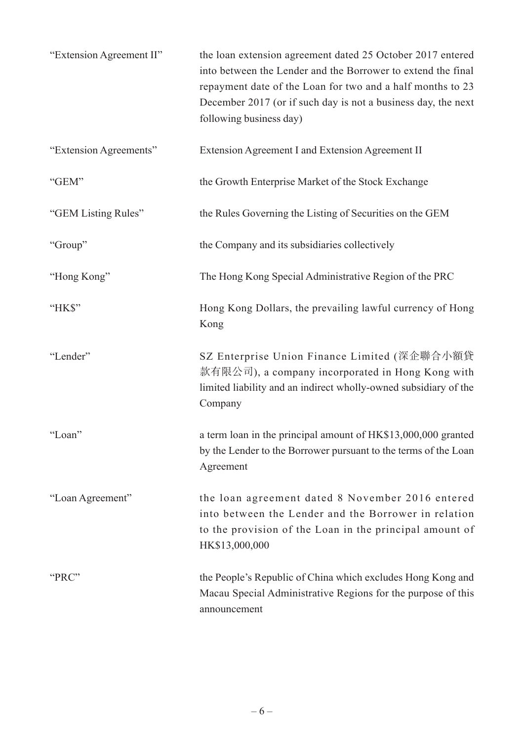| "Extension Agreement II" | the loan extension agreement dated 25 October 2017 entered<br>into between the Lender and the Borrower to extend the final<br>repayment date of the Loan for two and a half months to 23<br>December 2017 (or if such day is not a business day, the next<br>following business day) |
|--------------------------|--------------------------------------------------------------------------------------------------------------------------------------------------------------------------------------------------------------------------------------------------------------------------------------|
| "Extension Agreements"   | Extension Agreement I and Extension Agreement II                                                                                                                                                                                                                                     |
| "GEM"                    | the Growth Enterprise Market of the Stock Exchange                                                                                                                                                                                                                                   |
| "GEM Listing Rules"      | the Rules Governing the Listing of Securities on the GEM                                                                                                                                                                                                                             |
| "Group"                  | the Company and its subsidiaries collectively                                                                                                                                                                                                                                        |
| "Hong Kong"              | The Hong Kong Special Administrative Region of the PRC                                                                                                                                                                                                                               |
| "HK\$"                   | Hong Kong Dollars, the prevailing lawful currency of Hong<br>Kong                                                                                                                                                                                                                    |
| "Lender"                 | SZ Enterprise Union Finance Limited (深企聯合小額貸<br>款有限公司), a company incorporated in Hong Kong with<br>limited liability and an indirect wholly-owned subsidiary of the<br>Company                                                                                                      |
| "Loan"                   | a term loan in the principal amount of HK\$13,000,000 granted<br>by the Lender to the Borrower pursuant to the terms of the Loan<br>Agreement                                                                                                                                        |
| "Loan Agreement"         | the loan agreement dated 8 November 2016 entered<br>into between the Lender and the Borrower in relation<br>to the provision of the Loan in the principal amount of<br>HK\$13,000,000                                                                                                |
| "PRC"                    | the People's Republic of China which excludes Hong Kong and<br>Macau Special Administrative Regions for the purpose of this<br>announcement                                                                                                                                          |